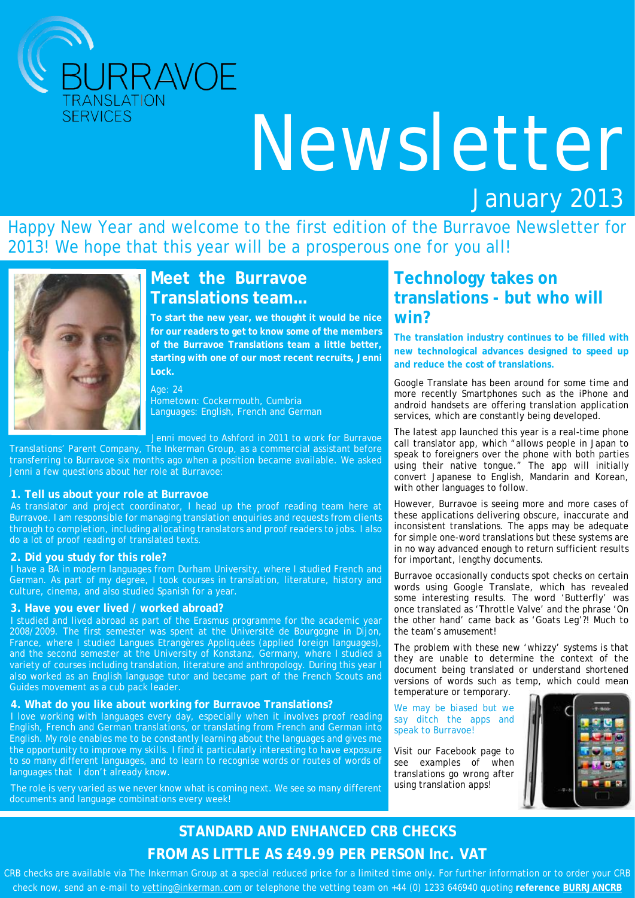

# Newsletter

# January 2013

Happy New Year and welcome to the first edition of the Burravoe Newsletter for 2013! We hope that this year will be a prosperous one for you all!



# **Meet the Burravoe Translations team…**

**To start the new year, we thought it would be nice for our readers to get to know some of the members of the Burravoe Translations team a little better, starting with one of our most recent recruits, Jenni Lock.**

#### Age: 24

Hometown: Cockermouth, Cumbria Languages: English, French and German

Jenni moved to Ashford in 2011 to work for Burravoe

Translations' Parent Company, The Inkerman Group, as a commercial assistant before transferring to Burravoe six months ago when a position became available. We asked Jenni a few questions about her role at Burravoe:

#### **1. Tell us about your role at Burravoe**

As translator and project coordinator, I head up the proof reading team here at Burravoe. I am responsible for managing translation enquiries and requests from clients through to completion, including allocating translators and proof readers to jobs. I also do a lot of proof reading of translated texts.

#### **2. Did you study for this role?**

I have a BA in modern languages from Durham University, where I studied French and German. As part of my degree, I took courses in translation, literature, history and culture, cinema, and also studied Spanish for a year.

#### **3. Have you ever lived / worked abroad?**

I studied and lived abroad as part of the Erasmus programme for the academic year 2008/2009. The first semester was spent at the Université de Bourgogne in Dijon, France, where I studied Langues Etrangères Appliquées (applied foreign languages), and the second semester at the University of Konstanz, Germany, where I studied a variety of courses including translation, literature and anthropology. During this year I also worked as an English language tutor and became part of the French Scouts and Guides movement as a cub pack leader.

#### **4. What do you like about working for Burravoe Translations?**

I love working with languages every day, especially when it involves proof reading English, French and German translations, or translating from French and German into English. My role enables me to be constantly learning about the languages and gives me the opportunity to improve my skills. I find it particularly interesting to have exposure to so many different languages, and to learn to recognise words or routes of words of languages that I don't already know.

The role is very varied as we never know what is coming next. We see so many different documents and language combinations every week!

## **Technology takes on translations - but who will win?**

**The translation industry continues to be filled with new technological advances designed to speed up and reduce the cost of translations.**

Google Translate has been around for some time and more recently Smartphones such as the iPhone and android handsets are offering translation application services, which are constantly being developed.

The latest app launched this year is a real-time phone call translator app, which "allows people in Japan to speak to foreigners over the phone with both parties using their native tongue." The app will initially convert Japanese to English, Mandarin and Korean, with other languages to follow.

However, Burravoe is seeing more and more cases of these applications delivering obscure, inaccurate and inconsistent translations. The apps may be adequate for simple one-word translations but these systems are in no way advanced enough to return sufficient results for important, lengthy documents.

Burravoe occasionally conducts spot checks on certain words using Google Translate, which has revealed some interesting results. The word 'Butterfly' was once translated as 'Throttle Valve' and the phrase 'On the other hand' came back as 'Goats Leg'?! Much to the team's amusement!

The problem with these new 'whizzy' systems is that they are unable to determine the context of the document being translated or understand shortened versions of words such as temp, which could mean temperature or temporary.

We may be biased but we say ditch the apps and speak to Burravoe!

Visit our Facebook page to see examples of when translations go wrong after using translation apps!



## **STANDARD AND ENHANCED CRB CHECKS FROM AS LITTLE AS £49.99 PER PERSON Inc. VAT**

CRB checks are available via The Inkerman Group at a special reduced price for a limited time only. For further information or to order your CRB check now, send an e-mail to vetting@inkerman.com or telephone the vetting team on +44 (0) 1233 646940 quoting **reference BURRJANCRB**